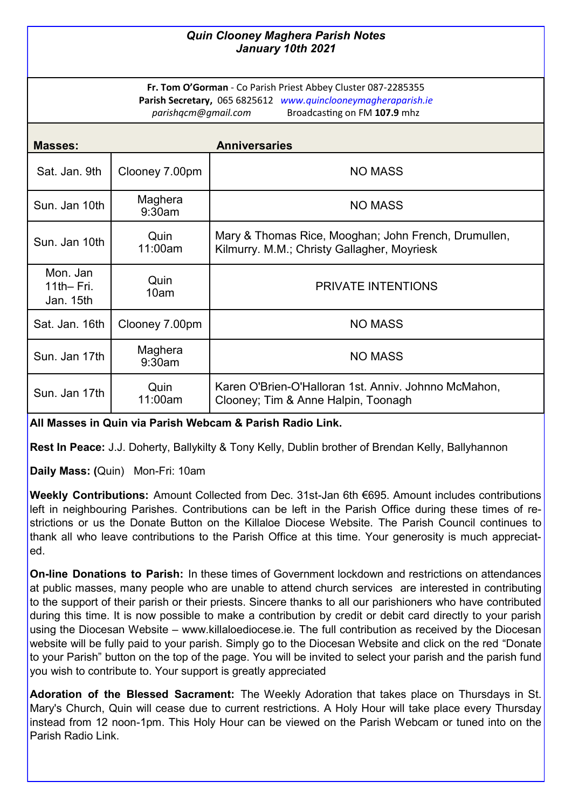## *Quin Clooney Maghera Parish Notes January 10th 2021*

**Fr. Tom O'Gorman** - Co Parish Priest Abbey Cluster 087-2285355 **Parish Secretary,** 065 6825612 *www.quinclooneymagheraparish.ie parishqcm@gmail.com* Broadcasting on FM **107.9** mhz

| Masses:                                |                   | <b>Anniversaries</b>                                                                                |
|----------------------------------------|-------------------|-----------------------------------------------------------------------------------------------------|
| Sat. Jan. 9th                          | Clooney 7.00pm    | <b>NO MASS</b>                                                                                      |
| Sun. Jan 10th                          | Maghera<br>9:30am | <b>NO MASS</b>                                                                                      |
| Sun. Jan 10th                          | Quin<br>11:00am   | Mary & Thomas Rice, Mooghan; John French, Drumullen,<br>Kilmurry. M.M.; Christy Gallagher, Moyriesk |
| Mon. Jan<br>$11th$ - Fri.<br>Jan. 15th | Quin<br>10am      | <b>PRIVATE INTENTIONS</b>                                                                           |
| Sat. Jan. 16th                         | Clooney 7.00pm    | <b>NO MASS</b>                                                                                      |
| Sun. Jan 17th                          | Maghera<br>9:30am | <b>NO MASS</b>                                                                                      |
| Sun. Jan 17th                          | Quin<br>11:00am   | Karen O'Brien-O'Halloran 1st. Anniv. Johnno McMahon,<br>Clooney; Tim & Anne Halpin, Toonagh         |

**All Masses in Quin via Parish Webcam & Parish Radio Link.** 

**Rest In Peace:** J.J. Doherty, Ballykilty & Tony Kelly, Dublin brother of Brendan Kelly, Ballyhannon

**Daily Mass: (**Quin) Mon-Fri: 10am

**Weekly Contributions:** Amount Collected from Dec. 31st-Jan 6th €695. Amount includes contributions left in neighbouring Parishes. Contributions can be left in the Parish Office during these times of restrictions or us the Donate Button on the Killaloe Diocese Website. The Parish Council continues to thank all who leave contributions to the Parish Office at this time. Your generosity is much appreciated.

**On-line Donations to Parish:** In these times of Government lockdown and restrictions on attendances at public masses, many people who are unable to attend church services are interested in contributing to the support of their parish or their priests. Sincere thanks to all our parishioners who have contributed during this time. It is now possible to make a contribution by credit or debit card directly to your parish using the Diocesan Website – www.killaloediocese.ie. The full contribution as received by the Diocesan website will be fully paid to your parish. Simply go to the Diocesan Website and click on the red "Donate to your Parish" button on the top of the page. You will be invited to select your parish and the parish fund you wish to contribute to. Your support is greatly appreciated

**Adoration of the Blessed Sacrament:** The Weekly Adoration that takes place on Thursdays in St. Mary's Church, Quin will cease due to current restrictions. A Holy Hour will take place every Thursday instead from 12 noon-1pm. This Holy Hour can be viewed on the Parish Webcam or tuned into on the Parish Radio Link.